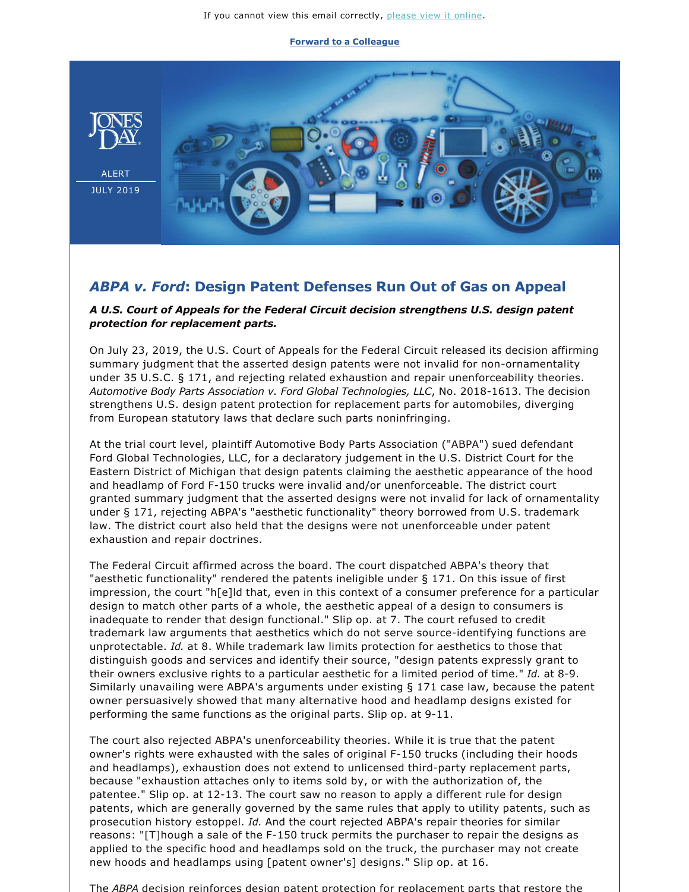If you cannot view this email correctly, [please view it online.](https://jonesday.vuture.net/API/Print/Preview/Screen?url=https%3a%2f%2fjonesday-ecommunications.com%2f292%2f4142%2fjuly-2019%2fabpa-v-ford.asp%3fwidth%3d1024#)

**[Forward to a Colleague](https://jonesday-ecommunications.com/e/mleec5clj2iadg)**



## *ABPA v. Ford***: Design Patent Defenses Run Out of Gas on Appeal**

## *A U.S. Court of Appeals for the Federal Circuit decision strengthens U.S. design patent protection for replacement parts.*

On July 23, 2019, the U.S. Court of Appeals for the Federal Circuit released its decision affirming summary judgment that the asserted design patents were not invalid for non-ornamentality under 35 U.S.C. § 171, and rejecting related exhaustion and repair unenforceability theories. Automotive Body Parts Association v. Ford Global Technologies, LLC, No. 2018-1613. The decision strengthens U.S. design patent protection for replacement parts for automobiles, diverging from European statutory laws that declare such parts noninfringing.

At the trial court level, plaintiff Automotive Body Parts Association ("ABPA") sued defendant Ford Global Technologies, LLC, for a declaratory judgement in the U.S. District Court for the Eastern District of Michigan that design patents claiming the aesthetic appearance of the hood and headlamp of Ford F-150 trucks were invalid and/or unenforceable. The district court granted summary judgment that the asserted designs were not invalid for lack of ornamentality under § 171, rejecting ABPA's "aesthetic functionality" theory borrowed from U.S. trademark law. The district court also held that the designs were not unenforceable under patent exhaustion and repair doctrines.

The Federal Circuit affirmed across the board. The court dispatched ABPA's theory that "aesthetic functionality" rendered the patents ineligible under § 171. On this issue of first impression, the court "h[e]ld that, even in this context of a consumer preference for a particular design to match other parts of a whole, the aesthetic appeal of a design to consumers is inadequate to render that design functional." Slip op. at 7. The court refused to credit trademark law arguments that aesthetics which do not serve source-identifying functions are unprotectable. *Id.* at 8. While trademark law limits protection for aesthetics to those that distinguish goods and services and identify their source, "design patents expressly grant to their owners exclusive rights to a particular aesthetic for a limited period of time." *Id.* at 8-9. Similarly unavailing were ABPA's arguments under existing § 171 case law, because the patent owner persuasively showed that many alternative hood and headlamp designs existed for performing the same functions as the original parts. Slip op. at  $9-11$ .

The court also rejected ABPA's unenforceability theories. While it is true that the patent owner's rights were exhausted with the sales of original F-150 trucks (including their hoods and headlamps), exhaustion does not extend to unlicensed third-party replacement parts, because "exhaustion attaches only to items sold by, or with the authorization of, the patentee." Slip op. at 12-13. The court saw no reason to apply a different rule for design patents, which are generally governed by the same rules that apply to utility patents, such as prosecution history estoppel. *Id.* And the court rejected ABPA's repair theories for similar reasons: "[T]hough a sale of the F-150 truck permits the purchaser to repair the designs as applied to the specific hood and headlamps sold on the truck, the purchaser may not create new hoods and headlamps using [patent owner's] designs." Slip op. at 16.

The *ABPA* decision reinforces design patent protection for replacement parts that restore the